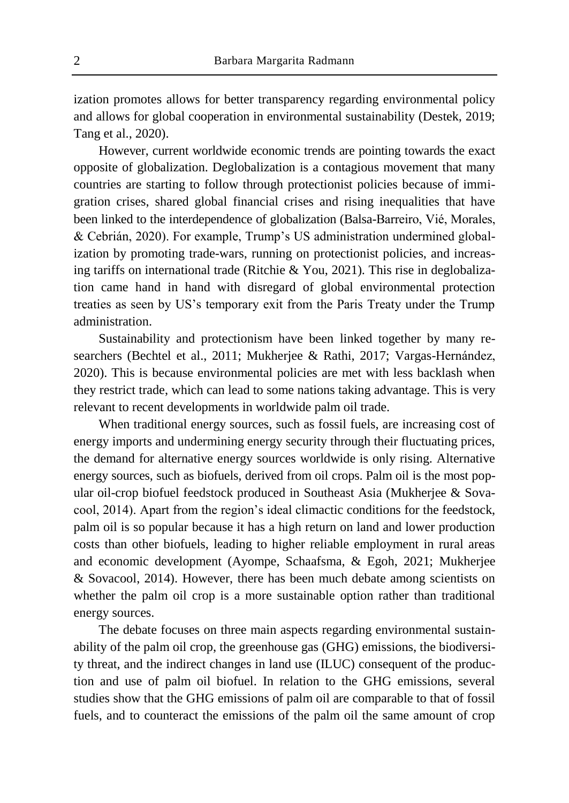ization promotes allows for better transparency regarding environmental policy and allows for global cooperation in environmental sustainability (Destek, 2019; Tang et al., 2020).

However, current worldwide economic trends are pointing towards the exact opposite of globalization. Deglobalization is a contagious movement that many countries are starting to follow through protectionist policies because of immigration crises, shared global financial crises and rising inequalities that have been linked to the interdependence of globalization (Balsa-Barreiro, Vié, Morales, & Cebrián, 2020). For example, Trump's US administration undermined globalization by promoting trade-wars, running on protectionist policies, and increasing tariffs on international trade (Ritchie & You, 2021). This rise in deglobalization came hand in hand with disregard of global environmental protection treaties as seen by US's temporary exit from the Paris Treaty under the Trump administration.

Sustainability and protectionism have been linked together by many researchers (Bechtel et al., 2011; Mukherjee & Rathi, 2017; Vargas-Hernández, 2020). This is because environmental policies are met with less backlash when they restrict trade, which can lead to some nations taking advantage. This is very relevant to recent developments in worldwide palm oil trade.

When traditional energy sources, such as fossil fuels, are increasing cost of energy imports and undermining energy security through their fluctuating prices, the demand for alternative energy sources worldwide is only rising. Alternative energy sources, such as biofuels, derived from oil crops. Palm oil is the most popular oil-crop biofuel feedstock produced in Southeast Asia (Mukherjee & Sovacool, 2014). Apart from the region's ideal climactic conditions for the feedstock, palm oil is so popular because it has a high return on land and lower production costs than other biofuels, leading to higher reliable employment in rural areas and economic development (Ayompe, Schaafsma, & Egoh, 2021; Mukherjee & Sovacool, 2014). However, there has been much debate among scientists on whether the palm oil crop is a more sustainable option rather than traditional energy sources.

The debate focuses on three main aspects regarding environmental sustainability of the palm oil crop, the greenhouse gas (GHG) emissions, the biodiversity threat, and the indirect changes in land use (ILUC) consequent of the production and use of palm oil biofuel. In relation to the GHG emissions, several studies show that the GHG emissions of palm oil are comparable to that of fossil fuels, and to counteract the emissions of the palm oil the same amount of crop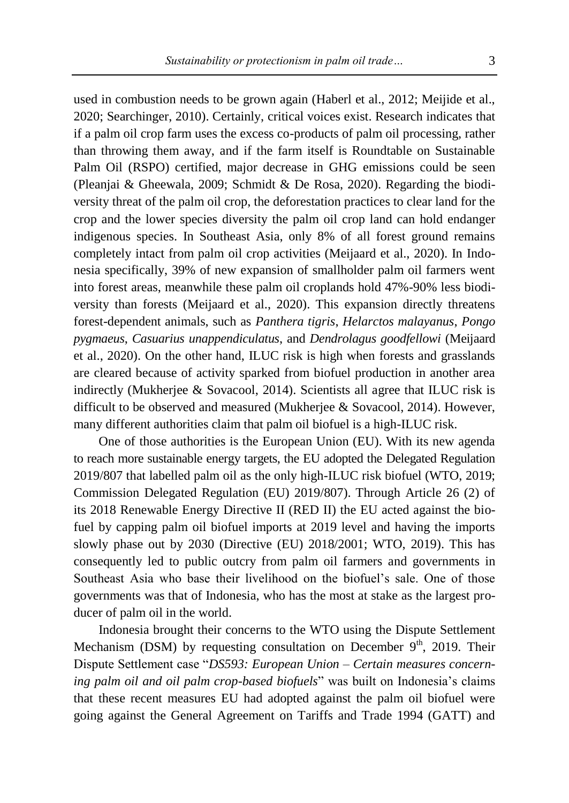used in combustion needs to be grown again (Haberl et al., 2012; Meijide et al., 2020; Searchinger, 2010). Certainly, critical voices exist. Research indicates that if a palm oil crop farm uses the excess co-products of palm oil processing, rather than throwing them away, and if the farm itself is Roundtable on Sustainable Palm Oil (RSPO) certified, major decrease in GHG emissions could be seen (Pleanjai & Gheewala, 2009; Schmidt & De Rosa, 2020). Regarding the biodiversity threat of the palm oil crop, the deforestation practices to clear land for the crop and the lower species diversity the palm oil crop land can hold endanger indigenous species. In Southeast Asia, only 8% of all forest ground remains completely intact from palm oil crop activities (Meijaard et al., 2020). In Indonesia specifically, 39% of new expansion of smallholder palm oil farmers went into forest areas, meanwhile these palm oil croplands hold 47%-90% less biodiversity than forests (Meijaard et al., 2020). This expansion directly threatens forest-dependent animals, such as *Panthera tigris*, *Helarctos malayanus*, *Pongo pygmaeus*, *Casuarius unappendiculatus*, and *Dendrolagus goodfellowi* (Meijaard et al., 2020). On the other hand, ILUC risk is high when forests and grasslands are cleared because of activity sparked from biofuel production in another area indirectly (Mukherjee & Sovacool, 2014). Scientists all agree that ILUC risk is difficult to be observed and measured (Mukherjee & Sovacool, 2014). However, many different authorities claim that palm oil biofuel is a high-ILUC risk.

One of those authorities is the European Union (EU). With its new agenda to reach more sustainable energy targets, the EU adopted the Delegated Regulation 2019/807 that labelled palm oil as the only high-ILUC risk biofuel (WTO, 2019; Commission Delegated Regulation (EU) 2019/807). Through Article 26 (2) of its 2018 Renewable Energy Directive II (RED II) the EU acted against the biofuel by capping palm oil biofuel imports at 2019 level and having the imports slowly phase out by 2030 (Directive (EU) 2018/2001; WTO, 2019). This has consequently led to public outcry from palm oil farmers and governments in Southeast Asia who base their livelihood on the biofuel's sale. One of those governments was that of Indonesia, who has the most at stake as the largest producer of palm oil in the world.

Indonesia brought their concerns to the WTO using the Dispute Settlement Mechanism (DSM) by requesting consultation on December  $9<sup>th</sup>$ , 2019. Their Dispute Settlement case "*DS593: European Union – Certain measures concerning palm oil and oil palm crop-based biofuels*" was built on Indonesia's claims that these recent measures EU had adopted against the palm oil biofuel were going against the General Agreement on Tariffs and Trade 1994 (GATT) and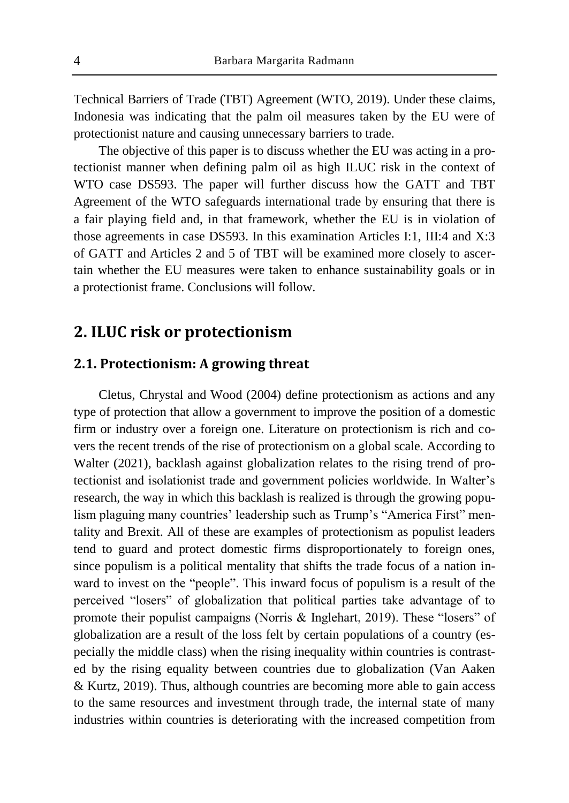Technical Barriers of Trade (TBT) Agreement (WTO, 2019). Under these claims, Indonesia was indicating that the palm oil measures taken by the EU were of protectionist nature and causing unnecessary barriers to trade.

The objective of this paper is to discuss whether the EU was acting in a protectionist manner when defining palm oil as high ILUC risk in the context of WTO case DS593. The paper will further discuss how the GATT and TBT Agreement of the WTO safeguards international trade by ensuring that there is a fair playing field and, in that framework, whether the EU is in violation of those agreements in case DS593. In this examination Articles I:1, III:4 and X:3 of GATT and Articles 2 and 5 of TBT will be examined more closely to ascertain whether the EU measures were taken to enhance sustainability goals or in a protectionist frame. Conclusions will follow.

## **2. ILUC risk or protectionism**

### **2.1. Protectionism: A growing threat**

Cletus, Chrystal and Wood (2004) define protectionism as actions and any type of protection that allow a government to improve the position of a domestic firm or industry over a foreign one. Literature on protectionism is rich and covers the recent trends of the rise of protectionism on a global scale. According to Walter (2021), backlash against globalization relates to the rising trend of protectionist and isolationist trade and government policies worldwide. In Walter's research, the way in which this backlash is realized is through the growing populism plaguing many countries' leadership such as Trump's "America First" mentality and Brexit. All of these are examples of protectionism as populist leaders tend to guard and protect domestic firms disproportionately to foreign ones, since populism is a political mentality that shifts the trade focus of a nation inward to invest on the "people". This inward focus of populism is a result of the perceived "losers" of globalization that political parties take advantage of to promote their populist campaigns (Norris & Inglehart, 2019). These "losers" of globalization are a result of the loss felt by certain populations of a country (especially the middle class) when the rising inequality within countries is contrasted by the rising equality between countries due to globalization (Van Aaken & Kurtz, 2019). Thus, although countries are becoming more able to gain access to the same resources and investment through trade, the internal state of many industries within countries is deteriorating with the increased competition from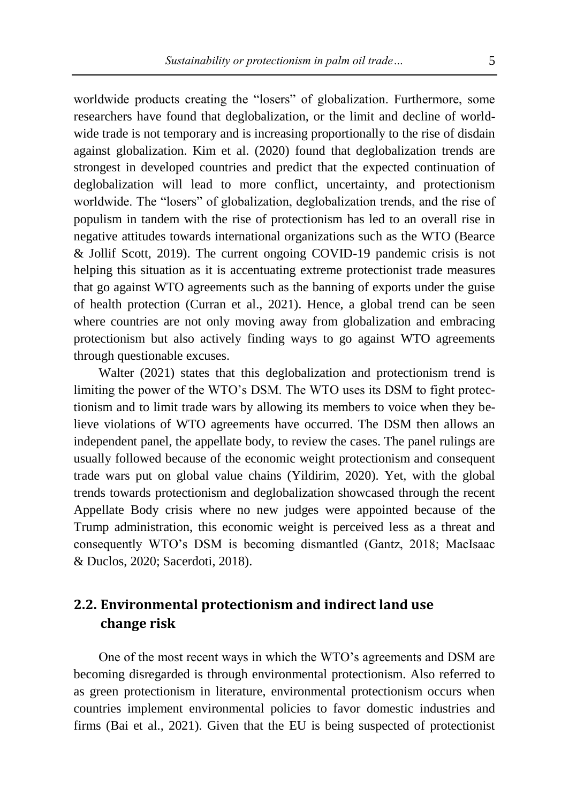worldwide products creating the "losers" of globalization. Furthermore, some researchers have found that deglobalization, or the limit and decline of worldwide trade is not temporary and is increasing proportionally to the rise of disdain against globalization. Kim et al. (2020) found that deglobalization trends are strongest in developed countries and predict that the expected continuation of deglobalization will lead to more conflict, uncertainty, and protectionism worldwide. The "losers" of globalization, deglobalization trends, and the rise of populism in tandem with the rise of protectionism has led to an overall rise in negative attitudes towards international organizations such as the WTO (Bearce & Jollif Scott, 2019). The current ongoing COVID-19 pandemic crisis is not helping this situation as it is accentuating extreme protectionist trade measures that go against WTO agreements such as the banning of exports under the guise of health protection (Curran et al., 2021). Hence, a global trend can be seen where countries are not only moving away from globalization and embracing protectionism but also actively finding ways to go against WTO agreements through questionable excuses.

Walter (2021) states that this deglobalization and protectionism trend is limiting the power of the WTO's DSM. The WTO uses its DSM to fight protectionism and to limit trade wars by allowing its members to voice when they believe violations of WTO agreements have occurred. The DSM then allows an independent panel, the appellate body, to review the cases. The panel rulings are usually followed because of the economic weight protectionism and consequent trade wars put on global value chains (Yildirim, 2020). Yet, with the global trends towards protectionism and deglobalization showcased through the recent Appellate Body crisis where no new judges were appointed because of the Trump administration, this economic weight is perceived less as a threat and consequently WTO's DSM is becoming dismantled (Gantz, 2018; MacIsaac & Duclos, 2020; Sacerdoti, 2018).

## **2.2. Environmental protectionism and indirect land use change risk**

One of the most recent ways in which the WTO's agreements and DSM are becoming disregarded is through environmental protectionism. Also referred to as green protectionism in literature, environmental protectionism occurs when countries implement environmental policies to favor domestic industries and firms (Bai et al., 2021). Given that the EU is being suspected of protectionist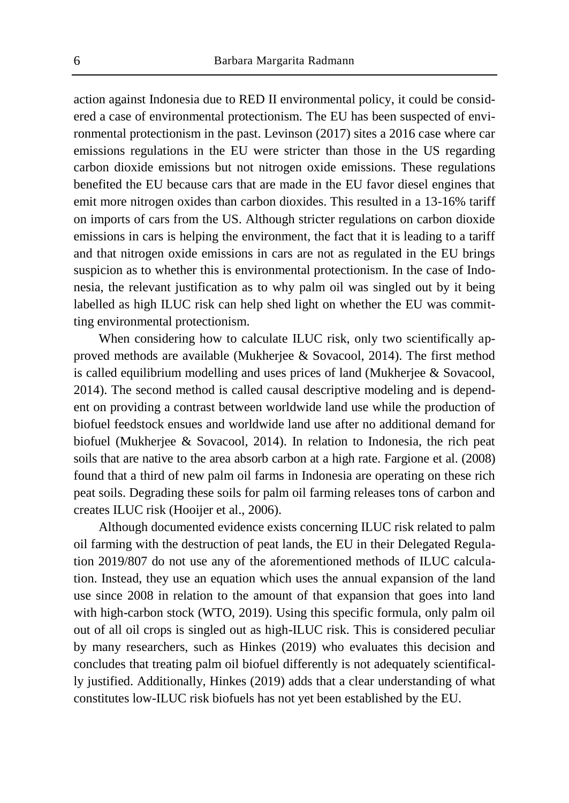action against Indonesia due to RED II environmental policy, it could be considered a case of environmental protectionism. The EU has been suspected of environmental protectionism in the past. Levinson (2017) sites a 2016 case where car emissions regulations in the EU were stricter than those in the US regarding carbon dioxide emissions but not nitrogen oxide emissions. These regulations benefited the EU because cars that are made in the EU favor diesel engines that emit more nitrogen oxides than carbon dioxides. This resulted in a 13-16% tariff on imports of cars from the US. Although stricter regulations on carbon dioxide emissions in cars is helping the environment, the fact that it is leading to a tariff and that nitrogen oxide emissions in cars are not as regulated in the EU brings suspicion as to whether this is environmental protectionism. In the case of Indonesia, the relevant justification as to why palm oil was singled out by it being labelled as high ILUC risk can help shed light on whether the EU was committing environmental protectionism.

When considering how to calculate ILUC risk, only two scientifically approved methods are available (Mukherjee & Sovacool, 2014). The first method is called equilibrium modelling and uses prices of land (Mukherjee & Sovacool, 2014). The second method is called causal descriptive modeling and is dependent on providing a contrast between worldwide land use while the production of biofuel feedstock ensues and worldwide land use after no additional demand for biofuel (Mukherjee & Sovacool, 2014). In relation to Indonesia, the rich peat soils that are native to the area absorb carbon at a high rate. Fargione et al. (2008) found that a third of new palm oil farms in Indonesia are operating on these rich peat soils. Degrading these soils for palm oil farming releases tons of carbon and creates ILUC risk (Hooijer et al., 2006).

Although documented evidence exists concerning ILUC risk related to palm oil farming with the destruction of peat lands, the EU in their Delegated Regulation 2019/807 do not use any of the aforementioned methods of ILUC calculation. Instead, they use an equation which uses the annual expansion of the land use since 2008 in relation to the amount of that expansion that goes into land with high-carbon stock (WTO, 2019). Using this specific formula, only palm oil out of all oil crops is singled out as high-ILUC risk. This is considered peculiar by many researchers, such as Hinkes (2019) who evaluates this decision and concludes that treating palm oil biofuel differently is not adequately scientifically justified. Additionally, Hinkes (2019) adds that a clear understanding of what constitutes low-ILUC risk biofuels has not yet been established by the EU.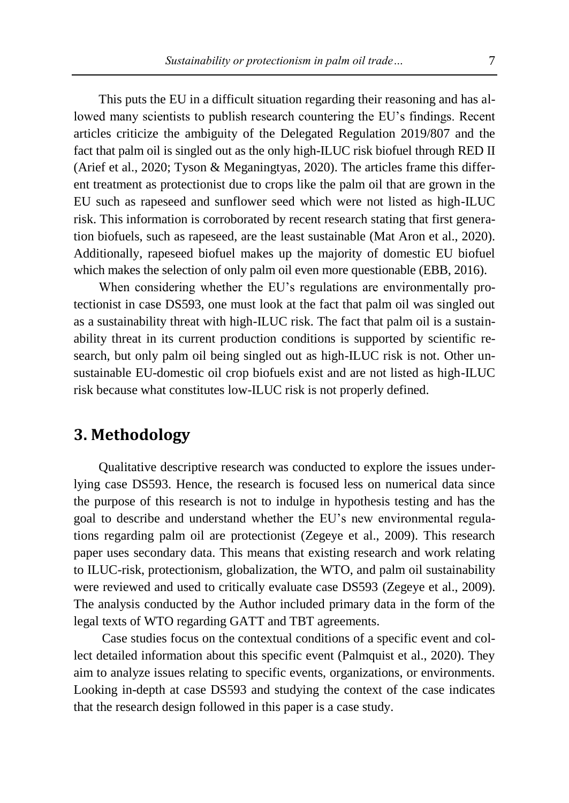This puts the EU in a difficult situation regarding their reasoning and has allowed many scientists to publish research countering the EU's findings. Recent articles criticize the ambiguity of the Delegated Regulation 2019/807 and the fact that palm oil is singled out as the only high-ILUC risk biofuel through RED II (Arief et al., 2020; Tyson & Meganingtyas, 2020). The articles frame this different treatment as protectionist due to crops like the palm oil that are grown in the EU such as rapeseed and sunflower seed which were not listed as high-ILUC risk. This information is corroborated by recent research stating that first generation biofuels, such as rapeseed, are the least sustainable (Mat Aron et al., 2020). Additionally, rapeseed biofuel makes up the majority of domestic EU biofuel which makes the selection of only palm oil even more questionable (EBB, 2016).

When considering whether the EU's regulations are environmentally protectionist in case DS593, one must look at the fact that palm oil was singled out as a sustainability threat with high-ILUC risk. The fact that palm oil is a sustainability threat in its current production conditions is supported by scientific research, but only palm oil being singled out as high-ILUC risk is not. Other unsustainable EU-domestic oil crop biofuels exist and are not listed as high-ILUC risk because what constitutes low-ILUC risk is not properly defined.

### **3. Methodology**

Qualitative descriptive research was conducted to explore the issues underlying case DS593. Hence, the research is focused less on numerical data since the purpose of this research is not to indulge in hypothesis testing and has the goal to describe and understand whether the EU's new environmental regulations regarding palm oil are protectionist (Zegeye et al., 2009). This research paper uses secondary data. This means that existing research and work relating to ILUC-risk, protectionism, globalization, the WTO, and palm oil sustainability were reviewed and used to critically evaluate case DS593 (Zegeye et al., 2009). The analysis conducted by the Author included primary data in the form of the legal texts of WTO regarding GATT and TBT agreements.

Case studies focus on the contextual conditions of a specific event and collect detailed information about this specific event (Palmquist et al., 2020). They aim to analyze issues relating to specific events, organizations, or environments. Looking in-depth at case DS593 and studying the context of the case indicates that the research design followed in this paper is a case study.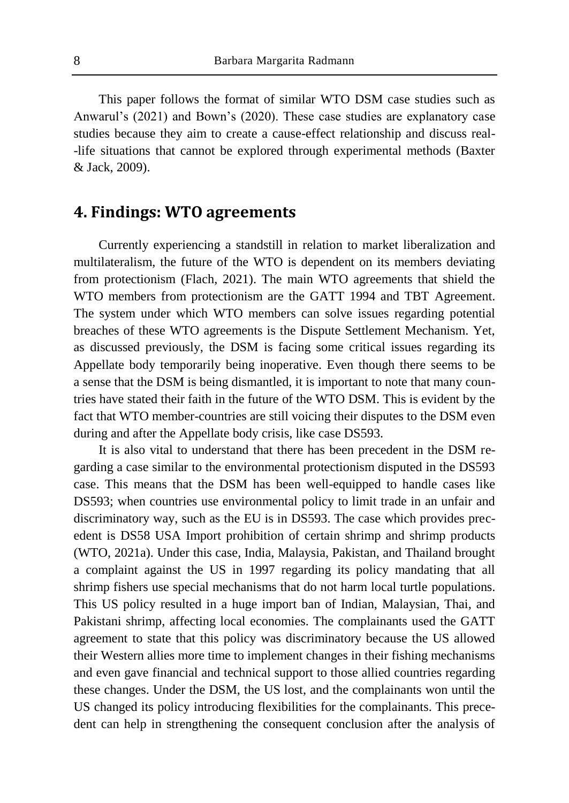This paper follows the format of similar WTO DSM case studies such as Anwarul's (2021) and Bown's (2020). These case studies are explanatory case studies because they aim to create a cause-effect relationship and discuss real- -life situations that cannot be explored through experimental methods (Baxter & Jack, 2009).

### **4. Findings: WTO agreements**

Currently experiencing a standstill in relation to market liberalization and multilateralism, the future of the WTO is dependent on its members deviating from protectionism (Flach, 2021). The main WTO agreements that shield the WTO members from protectionism are the GATT 1994 and TBT Agreement. The system under which WTO members can solve issues regarding potential breaches of these WTO agreements is the Dispute Settlement Mechanism. Yet, as discussed previously, the DSM is facing some critical issues regarding its Appellate body temporarily being inoperative. Even though there seems to be a sense that the DSM is being dismantled, it is important to note that many countries have stated their faith in the future of the WTO DSM. This is evident by the fact that WTO member-countries are still voicing their disputes to the DSM even during and after the Appellate body crisis, like case DS593.

It is also vital to understand that there has been precedent in the DSM regarding a case similar to the environmental protectionism disputed in the DS593 case. This means that the DSM has been well-equipped to handle cases like DS593; when countries use environmental policy to limit trade in an unfair and discriminatory way, such as the EU is in DS593. The case which provides precedent is DS58 USA Import prohibition of certain shrimp and shrimp products (WTO, 2021a). Under this case, India, Malaysia, Pakistan, and Thailand brought a complaint against the US in 1997 regarding its policy mandating that all shrimp fishers use special mechanisms that do not harm local turtle populations. This US policy resulted in a huge import ban of Indian, Malaysian, Thai, and Pakistani shrimp, affecting local economies. The complainants used the GATT agreement to state that this policy was discriminatory because the US allowed their Western allies more time to implement changes in their fishing mechanisms and even gave financial and technical support to those allied countries regarding these changes. Under the DSM, the US lost, and the complainants won until the US changed its policy introducing flexibilities for the complainants. This precedent can help in strengthening the consequent conclusion after the analysis of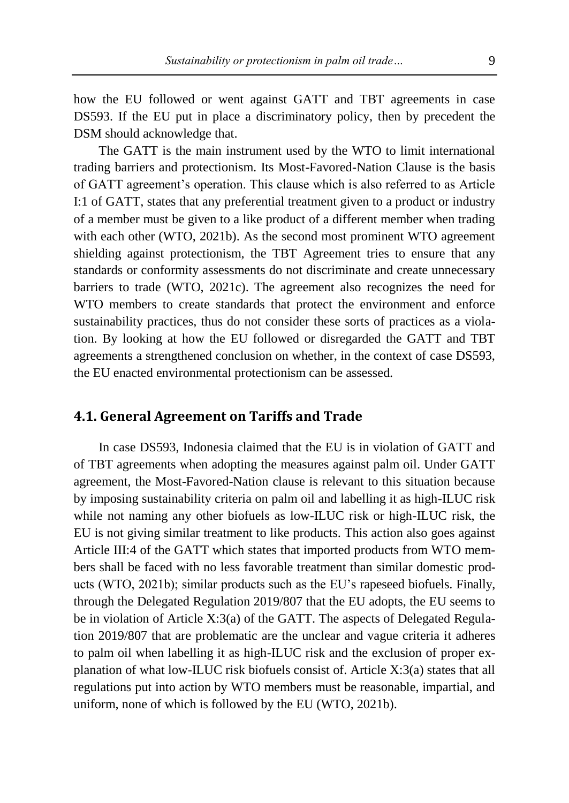how the EU followed or went against GATT and TBT agreements in case DS593. If the EU put in place a discriminatory policy, then by precedent the DSM should acknowledge that.

The GATT is the main instrument used by the WTO to limit international trading barriers and protectionism. Its Most-Favored-Nation Clause is the basis of GATT agreement's operation. This clause which is also referred to as Article I:1 of GATT, states that any preferential treatment given to a product or industry of a member must be given to a like product of a different member when trading with each other (WTO, 2021b). As the second most prominent WTO agreement shielding against protectionism, the TBT Agreement tries to ensure that any standards or conformity assessments do not discriminate and create unnecessary barriers to trade (WTO, 2021c). The agreement also recognizes the need for WTO members to create standards that protect the environment and enforce sustainability practices, thus do not consider these sorts of practices as a violation. By looking at how the EU followed or disregarded the GATT and TBT agreements a strengthened conclusion on whether, in the context of case DS593, the EU enacted environmental protectionism can be assessed.

### **4.1. General Agreement on Tariffs and Trade**

In case DS593, Indonesia claimed that the EU is in violation of GATT and of TBT agreements when adopting the measures against palm oil. Under GATT agreement, the Most-Favored-Nation clause is relevant to this situation because by imposing sustainability criteria on palm oil and labelling it as high-ILUC risk while not naming any other biofuels as low-ILUC risk or high-ILUC risk, the EU is not giving similar treatment to like products. This action also goes against Article III:4 of the GATT which states that imported products from WTO members shall be faced with no less favorable treatment than similar domestic products (WTO, 2021b); similar products such as the EU's rapeseed biofuels. Finally, through the Delegated Regulation 2019/807 that the EU adopts, the EU seems to be in violation of Article X:3(a) of the GATT. The aspects of Delegated Regulation 2019/807 that are problematic are the unclear and vague criteria it adheres to palm oil when labelling it as high-ILUC risk and the exclusion of proper explanation of what low-ILUC risk biofuels consist of. Article X:3(a) states that all regulations put into action by WTO members must be reasonable, impartial, and uniform, none of which is followed by the EU (WTO, 2021b).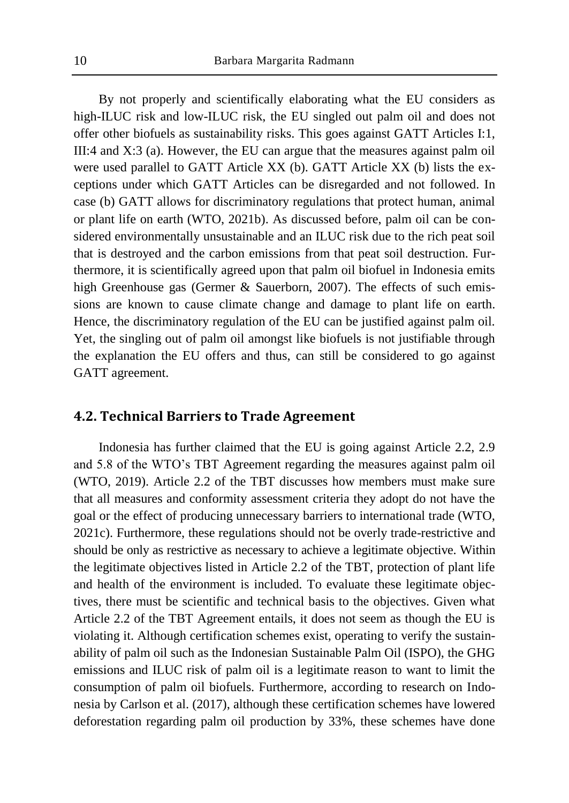By not properly and scientifically elaborating what the EU considers as high-ILUC risk and low-ILUC risk, the EU singled out palm oil and does not offer other biofuels as sustainability risks. This goes against GATT Articles I:1, III:4 and X:3 (a). However, the EU can argue that the measures against palm oil were used parallel to GATT Article XX (b). GATT Article XX (b) lists the exceptions under which GATT Articles can be disregarded and not followed. In case (b) GATT allows for discriminatory regulations that protect human, animal or plant life on earth (WTO, 2021b). As discussed before, palm oil can be considered environmentally unsustainable and an ILUC risk due to the rich peat soil that is destroyed and the carbon emissions from that peat soil destruction. Furthermore, it is scientifically agreed upon that palm oil biofuel in Indonesia emits high Greenhouse gas (Germer & Sauerborn, 2007). The effects of such emissions are known to cause climate change and damage to plant life on earth. Hence, the discriminatory regulation of the EU can be justified against palm oil. Yet, the singling out of palm oil amongst like biofuels is not justifiable through the explanation the EU offers and thus, can still be considered to go against GATT agreement.

### **4.2. Technical Barriers to Trade Agreement**

Indonesia has further claimed that the EU is going against Article 2.2, 2.9 and 5.8 of the WTO's TBT Agreement regarding the measures against palm oil (WTO, 2019). Article 2.2 of the TBT discusses how members must make sure that all measures and conformity assessment criteria they adopt do not have the goal or the effect of producing unnecessary barriers to international trade (WTO, 2021c). Furthermore, these regulations should not be overly trade-restrictive and should be only as restrictive as necessary to achieve a legitimate objective. Within the legitimate objectives listed in Article 2.2 of the TBT, protection of plant life and health of the environment is included. To evaluate these legitimate objectives, there must be scientific and technical basis to the objectives. Given what Article 2.2 of the TBT Agreement entails, it does not seem as though the EU is violating it. Although certification schemes exist, operating to verify the sustainability of palm oil such as the Indonesian Sustainable Palm Oil (ISPO), the GHG emissions and ILUC risk of palm oil is a legitimate reason to want to limit the consumption of palm oil biofuels. Furthermore, according to research on Indonesia by Carlson et al. (2017), although these certification schemes have lowered deforestation regarding palm oil production by 33%, these schemes have done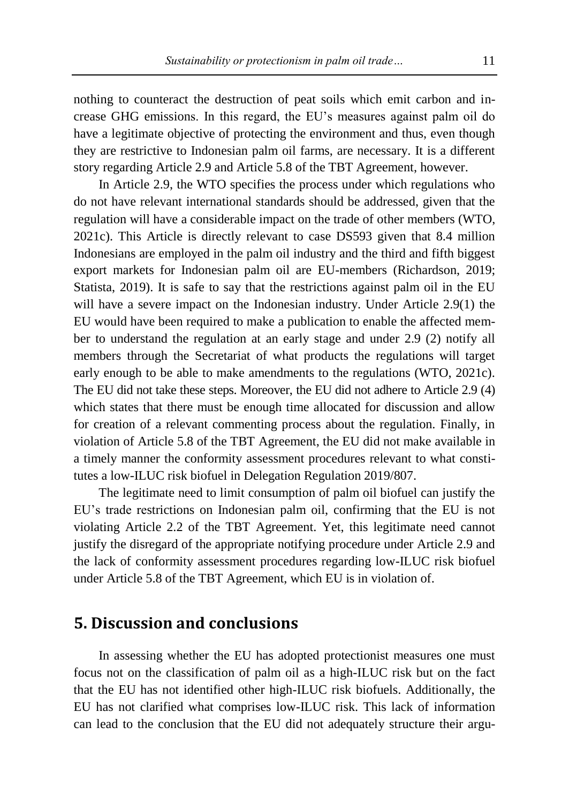nothing to counteract the destruction of peat soils which emit carbon and increase GHG emissions. In this regard, the EU's measures against palm oil do have a legitimate objective of protecting the environment and thus, even though they are restrictive to Indonesian palm oil farms, are necessary. It is a different story regarding Article 2.9 and Article 5.8 of the TBT Agreement, however.

In Article 2.9, the WTO specifies the process under which regulations who do not have relevant international standards should be addressed, given that the regulation will have a considerable impact on the trade of other members (WTO, 2021c). This Article is directly relevant to case DS593 given that 8.4 million Indonesians are employed in the palm oil industry and the third and fifth biggest export markets for Indonesian palm oil are EU-members (Richardson, 2019; Statista, 2019). It is safe to say that the restrictions against palm oil in the EU will have a severe impact on the Indonesian industry. Under Article 2.9(1) the EU would have been required to make a publication to enable the affected member to understand the regulation at an early stage and under 2.9 (2) notify all members through the Secretariat of what products the regulations will target early enough to be able to make amendments to the regulations (WTO, 2021c). The EU did not take these steps. Moreover, the EU did not adhere to Article 2.9 (4) which states that there must be enough time allocated for discussion and allow for creation of a relevant commenting process about the regulation. Finally, in violation of Article 5.8 of the TBT Agreement, the EU did not make available in a timely manner the conformity assessment procedures relevant to what constitutes a low-ILUC risk biofuel in Delegation Regulation 2019/807.

The legitimate need to limit consumption of palm oil biofuel can justify the EU's trade restrictions on Indonesian palm oil, confirming that the EU is not violating Article 2.2 of the TBT Agreement. Yet, this legitimate need cannot justify the disregard of the appropriate notifying procedure under Article 2.9 and the lack of conformity assessment procedures regarding low-ILUC risk biofuel under Article 5.8 of the TBT Agreement, which EU is in violation of.

## **5. Discussion and conclusions**

In assessing whether the EU has adopted protectionist measures one must focus not on the classification of palm oil as a high-ILUC risk but on the fact that the EU has not identified other high-ILUC risk biofuels. Additionally, the EU has not clarified what comprises low-ILUC risk. This lack of information can lead to the conclusion that the EU did not adequately structure their argu-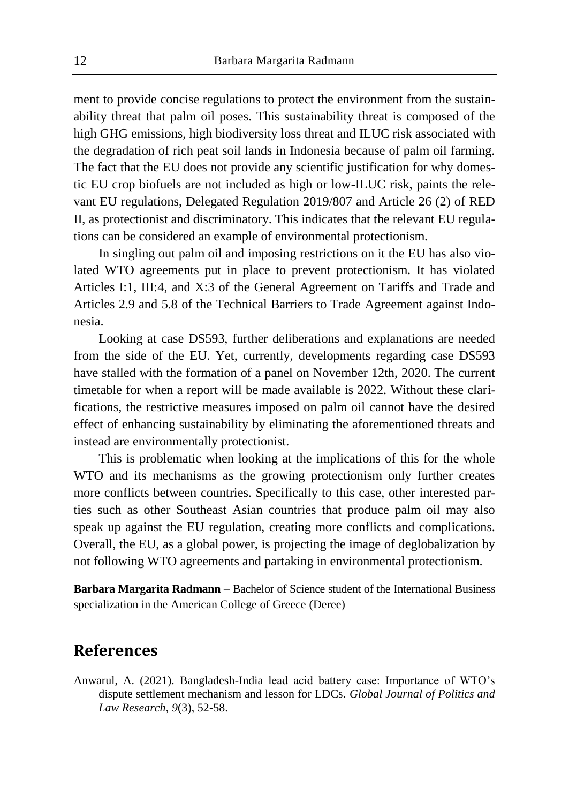ment to provide concise regulations to protect the environment from the sustainability threat that palm oil poses. This sustainability threat is composed of the high GHG emissions, high biodiversity loss threat and ILUC risk associated with the degradation of rich peat soil lands in Indonesia because of palm oil farming. The fact that the EU does not provide any scientific justification for why domestic EU crop biofuels are not included as high or low-ILUC risk, paints the relevant EU regulations, Delegated Regulation 2019/807 and Article 26 (2) of RED II, as protectionist and discriminatory. This indicates that the relevant EU regulations can be considered an example of environmental protectionism.

In singling out palm oil and imposing restrictions on it the EU has also violated WTO agreements put in place to prevent protectionism. It has violated Articles I:1, III:4, and X:3 of the General Agreement on Tariffs and Trade and Articles 2.9 and 5.8 of the Technical Barriers to Trade Agreement against Indonesia.

Looking at case DS593, further deliberations and explanations are needed from the side of the EU. Yet, currently, developments regarding case DS593 have stalled with the formation of a panel on November 12th, 2020. The current timetable for when a report will be made available is 2022. Without these clarifications, the restrictive measures imposed on palm oil cannot have the desired effect of enhancing sustainability by eliminating the aforementioned threats and instead are environmentally protectionist.

This is problematic when looking at the implications of this for the whole WTO and its mechanisms as the growing protectionism only further creates more conflicts between countries. Specifically to this case, other interested parties such as other Southeast Asian countries that produce palm oil may also speak up against the EU regulation, creating more conflicts and complications. Overall, the EU, as a global power, is projecting the image of deglobalization by not following WTO agreements and partaking in environmental protectionism.

**Barbara Margarita Radmann** – Bachelor of Science student of the International Business specialization in the American College of Greece (Deree)

# **References**

Anwarul, A. (2021). Bangladesh-India lead acid battery case: Importance of WTO's dispute settlement mechanism and lesson for LDCs. *Global Journal of Politics and Law Research*, *9*(3), 52-58.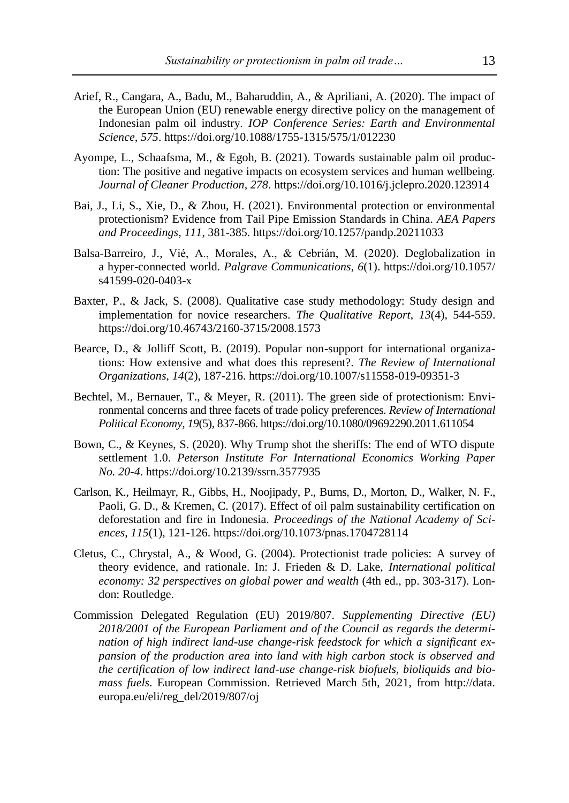- Arief, R., Cangara, A., Badu, M., Baharuddin, A., & Apriliani, A. (2020). The impact of the European Union (EU) renewable energy directive policy on the management of Indonesian palm oil industry. *IOP Conference Series: Earth and Environmental Science*, *575*. https://doi.org/10.1088/1755-1315/575/1/012230
- Ayompe, L., Schaafsma, M., & Egoh, B. (2021). Towards sustainable palm oil production: The positive and negative impacts on ecosystem services and human wellbeing. *Journal of Cleaner Production, 278*. https://doi.org/10.1016/j.jclepro.2020.123914
- Bai, J., Li, S., Xie, D., & Zhou, H. (2021). Environmental protection or environmental protectionism? Evidence from Tail Pipe Emission Standards in China. *AEA Papers and Proceedings*, *111*, 381-385. https://doi.org/10.1257/pandp.20211033
- Balsa-Barreiro, J., Vié, A., Morales, A., & Cebrián, M. (2020). Deglobalization in a hyper-connected world. *Palgrave Communications*, *6*(1). https://doi.org/10.1057/ s41599-020-0403-x
- Baxter, P., & Jack, S. (2008). Qualitative case study methodology: Study design and implementation for novice researchers. *The Qualitative Report*, *13*(4), 544-559. https://doi.org/10.46743/2160-3715/2008.1573
- Bearce, D., & Jolliff Scott, B. (2019). Popular non-support for international organizations: How extensive and what does this represent?. *The Review of International Organizations*, *14*(2), 187-216. https://doi.org/10.1007/s11558-019-09351-3
- Bechtel, M., Bernauer, T., & Meyer, R. (2011). The green side of protectionism: Environmental concerns and three facets of trade policy preferences. *Review of International Political Economy*, *19*(5), 837-866. https://doi.org/10.1080/09692290.2011.611054
- Bown, C., & Keynes, S. (2020). Why Trump shot the sheriffs: The end of WTO dispute settlement 1.0. *Peterson Institute For International Economics Working Paper No. 20-4*. https://doi.org/10.2139/ssrn.3577935
- Carlson, K., Heilmayr, R., Gibbs, H., Noojipady, P., Burns, D., Morton, D., Walker, N. F., Paoli, G. D., & Kremen, C. (2017). Effect of oil palm sustainability certification on deforestation and fire in Indonesia. *Proceedings of the National Academy of Sciences*, *115*(1), 121-126. https://doi.org/10.1073/pnas.1704728114
- Cletus, C., Chrystal, A., & Wood, G. (2004). Protectionist trade policies: A survey of theory evidence, and rationale. In: J. Frieden & D. Lake, *International political economy: 32 perspectives on global power and wealth* (4th ed., pp. 303-317). London: Routledge.
- Commission Delegated Regulation (EU) 2019/807. *Supplementing Directive (EU) 2018/2001 of the European Parliament and of the Council as regards the determination of high indirect land-use change-risk feedstock for which a significant expansion of the production area into land with high carbon stock is observed and the certification of low indirect land-use change-risk biofuels, bioliquids and biomass fuels*. European Commission. Retrieved March 5th, 2021, from http://data. europa.eu/eli/reg\_del/2019/807/oj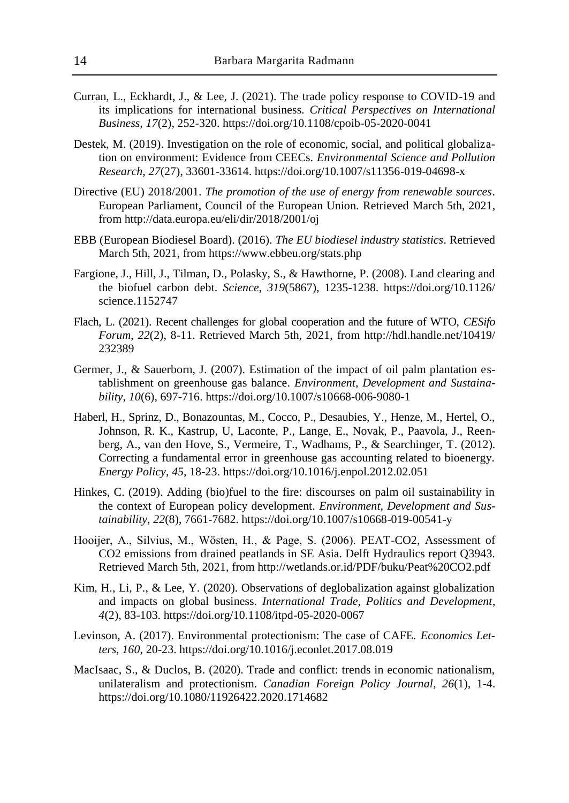- Curran, L., Eckhardt, J., & Lee, J. (2021). The trade policy response to COVID-19 and its implications for international business. *Critical Perspectives on International Business*, *17*(2), 252-320. https://doi.org/10.1108/cpoib-05-2020-0041
- Destek, M. (2019). Investigation on the role of economic, social, and political globalization on environment: Evidence from CEECs. *Environmental Science and Pollution Research*, *27*(27), 33601-33614. https://doi.org/10.1007/s11356-019-04698-x
- Directive (EU) 2018/2001. *The promotion of the use of energy from renewable sources*. European Parliament, Council of the European Union. Retrieved March 5th, 2021, from http://data.europa.eu/eli/dir/2018/2001/oj
- EBB (European Biodiesel Board). (2016). *The EU biodiesel industry statistics*. Retrieved March 5th, 2021, from https://www.ebbeu.org/stats.php
- Fargione, J., Hill, J., Tilman, D., Polasky, S., & Hawthorne, P. (2008). Land clearing and the biofuel carbon debt. *Science*, *319*(5867), 1235-1238. https://doi.org/10.1126/ science.1152747
- Flach, L. (2021). Recent challenges for global cooperation and the future of WTO, *CESifo Forum*, *22*(2), 8-11. Retrieved March 5th, 2021, from http://hdl.handle.net/10419/ 232389
- Germer, J., & Sauerborn, J. (2007). Estimation of the impact of oil palm plantation establishment on greenhouse gas balance. *Environment, Development and Sustainability*, *10*(6), 697-716. https://doi.org/10.1007/s10668-006-9080-1
- Haberl, H., Sprinz, D., Bonazountas, M., Cocco, P., Desaubies, Y., Henze, M., Hertel, O., Johnson, R. K., Kastrup, U, Laconte, P., Lange, E., Novak, P., Paavola, J., Reenberg, A., van den Hove, S., Vermeire, T., Wadhams, P., & Searchinger, T. (2012). Correcting a fundamental error in greenhouse gas accounting related to bioenergy. *Energy Policy*, *45*, 18-23. https://doi.org/10.1016/j.enpol.2012.02.051
- Hinkes, C. (2019). Adding (bio)fuel to the fire: discourses on palm oil sustainability in the context of European policy development. *Environment, Development and Sustainability*, *22*(8), 7661-7682. https://doi.org/10.1007/s10668-019-00541-y
- Hooijer, A., Silvius, M., Wösten, H., & Page, S. (2006). PEAT-CO2, Assessment of CO2 emissions from drained peatlands in SE Asia. Delft Hydraulics report Q3943. Retrieved March 5th, 2021, from http://wetlands.or.id/PDF/buku/Peat%20CO2.pdf
- Kim, H., Li, P., & Lee, Y. (2020). Observations of deglobalization against globalization and impacts on global business. *International Trade, Politics and Development*, *4*(2), 83-103. https://doi.org/10.1108/itpd-05-2020-0067
- Levinson, A. (2017). Environmental protectionism: The case of CAFE. *Economics Letters*, *160*, 20-23. https://doi.org/10.1016/j.econlet.2017.08.019
- MacIsaac, S., & Duclos, B. (2020). Trade and conflict: trends in economic nationalism, unilateralism and protectionism. *Canadian Foreign Policy Journal*, *26*(1), 1-4. https://doi.org/10.1080/11926422.2020.1714682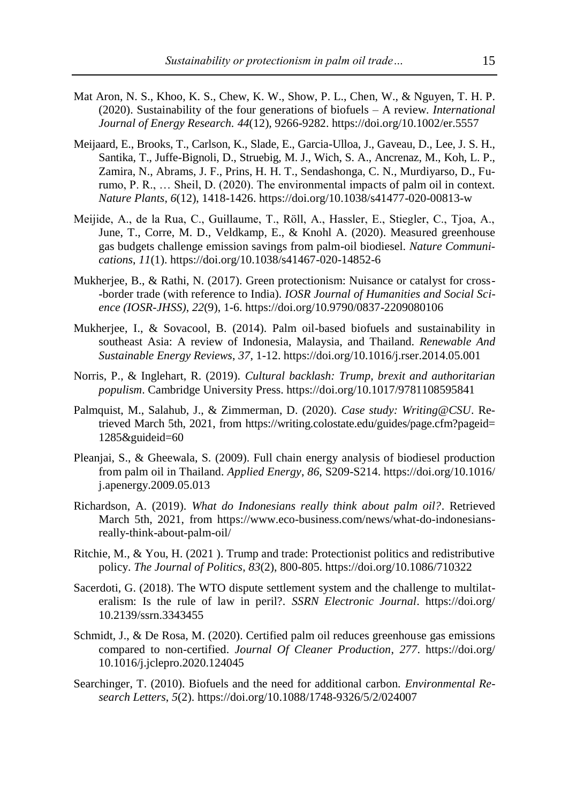- Mat Aron, N. S., Khoo, K. S., Chew, K. W., Show, P. L., Chen, W., & Nguyen, T. H. P. (2020). Sustainability of the four generations of biofuels – A review*. International Journal of Energy Research. 44*(12), 9266-9282. https://doi.org/10.1002/er.5557
- Meijaard, E., Brooks, T., Carlson, K., Slade, E., Garcia-Ulloa, J., Gaveau, D., Lee, J. S. H., Santika, T., Juffe-Bignoli, D., Struebig, M. J., Wich, S. A., Ancrenaz, M., Koh, L. P., Zamira, N., Abrams, J. F., Prins, H. H. T., Sendashonga, C. N., Murdiyarso, D., Furumo, P. R., … Sheil, D. (2020). The environmental impacts of palm oil in context. *Nature Plants*, *6*(12), 1418-1426. https://doi.org/10.1038/s41477-020-00813-w
- Meijide, A., de la Rua, C., Guillaume, T., Röll, A., Hassler, E., Stiegler, C., Tjoa, A., June, T., Corre, M. D., Veldkamp, E., & Knohl A. (2020). Measured greenhouse gas budgets challenge emission savings from palm-oil biodiesel. *Nature Communications*, *11*(1). https://doi.org/10.1038/s41467-020-14852-6
- Mukherjee, B., & Rathi, N. (2017). Green protectionism: Nuisance or catalyst for cross- -border trade (with reference to India). *IOSR Journal of Humanities and Social Science (IOSR-JHSS)*, *22*(9), 1-6. https://doi.org/10.9790/0837-2209080106
- Mukherjee, I., & Sovacool, B. (2014). Palm oil-based biofuels and sustainability in southeast Asia: A review of Indonesia, Malaysia, and Thailand. *Renewable And Sustainable Energy Reviews*, *37*, 1-12. https://doi.org/10.1016/j.rser.2014.05.001
- Norris, P., & Inglehart, R. (2019). *Cultural backlash: Trump, brexit and authoritarian populism*. Cambridge University Press. https://doi.org/10.1017/9781108595841
- Palmquist, M., Salahub, J., & Zimmerman, D. (2020). *Case study: Writing@CSU*. Retrieved March 5th, 2021, from https://writing.colostate.edu/guides/page.cfm?pageid= 1285&guideid=60
- Pleanjai, S., & Gheewala, S. (2009). Full chain energy analysis of biodiesel production from palm oil in Thailand. *Applied Energy*, *86*, S209-S214. https://doi.org/10.1016/ j.apenergy.2009.05.013
- Richardson, A. (2019). *What do Indonesians really think about palm oil?*. Retrieved March 5th, 2021, from https://www.eco-business.com/news/what-do-indonesiansreally-think-about-palm-oil/
- Ritchie, M., & You, H. (2021 ). Trump and trade: Protectionist politics and redistributive policy. *The Journal of Politics*, *83*(2), 800-805. https://doi.org/10.1086/710322
- Sacerdoti, G. (2018). The WTO dispute settlement system and the challenge to multilateralism: Is the rule of law in peril?. *SSRN Electronic Journal*. https://doi.org/ 10.2139/ssrn.3343455
- Schmidt, J., & De Rosa, M. (2020). Certified palm oil reduces greenhouse gas emissions compared to non-certified. *Journal Of Cleaner Production*, *277*. https://doi.org/ 10.1016/j.jclepro.2020.124045
- Searchinger, T. (2010). Biofuels and the need for additional carbon. *Environmental Research Letters*, *5*(2). https://doi.org/10.1088/1748-9326/5/2/024007